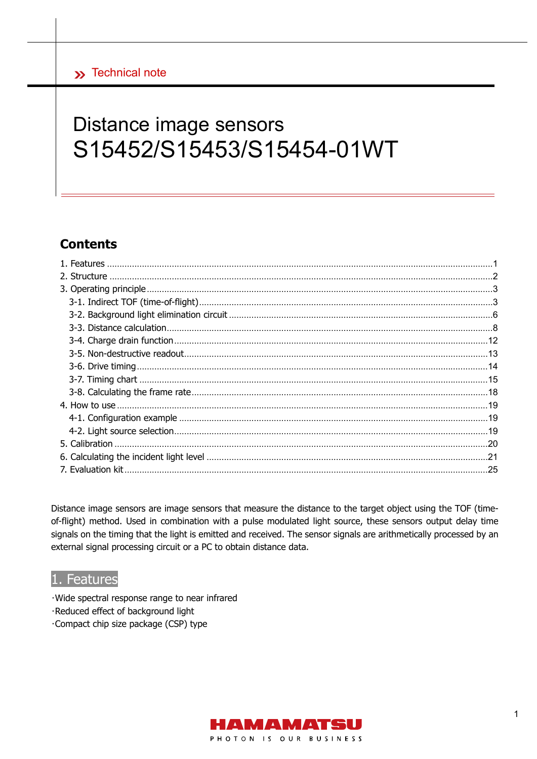# Distance image sensors S15452/S15453/S15454-01WT

# **Contents**

Distance image sensors are image sensors that measure the distance to the target object using the TOF (timeof-flight) method. Used in combination with a pulse modulated light source, these sensors output delay time signals on the timing that the light is emitted and received. The sensor signals are arithmetically processed by an external signal processing circuit or a PC to obtain distance data.

## 1. Features

- · Wide spectral response range to near infrared
- ·Reduced effect of background light
- ·Compact chip size package (CSP) type

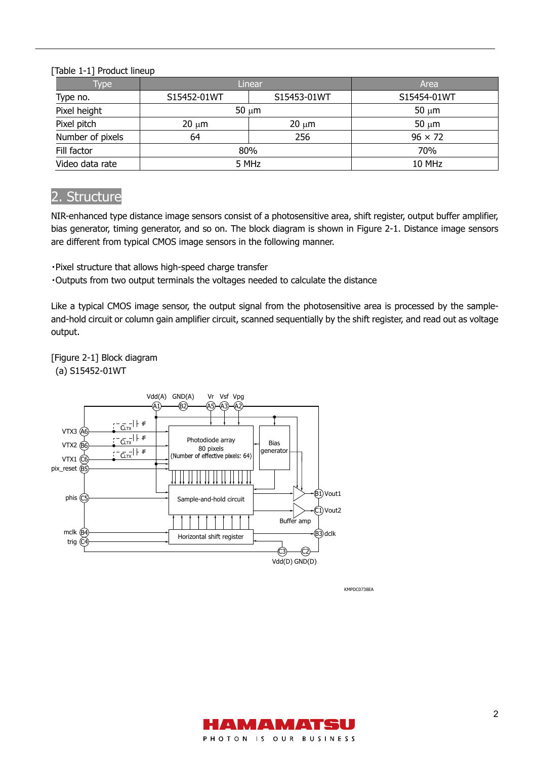[Table 1-1] Product lineup

| <b>Type</b>      | Linear      |             | Area           |
|------------------|-------------|-------------|----------------|
| Type no.         | S15452-01WT | S15453-01WT | S15454-01WT    |
| Pixel height     |             | $50 \mu m$  | $50 \mu m$     |
| Pixel pitch      | $20 \mu m$  | $20 \mu m$  | $50 \mu m$     |
| Number of pixels | 64          | 256         | $96 \times 72$ |
| Fill factor      | 80%         |             | 70%            |
| Video data rate  | 5 MHz       |             | 10 MHz         |

# 2. Structure

NIR-enhanced type distance image sensors consist of a photosensitive area, shift register, output buffer amplifier, bias generator, timing generator, and so on. The block diagram is shown in Figure 2-1. Distance image sensors are different from typical CMOS image sensors in the following manner.

・Pixel structure that allows high-speed charge transfer

・Outputs from two output terminals the voltages needed to calculate the distance

Like a typical CMOS image sensor, the output signal from the photosensitive area is processed by the sampleand-hold circuit or column gain amplifier circuit, scanned sequentially by the shift register, and read out as voltage output.

[Figure 2-1] Block diagram (a) S15452-01WT



KMPDC0738EA

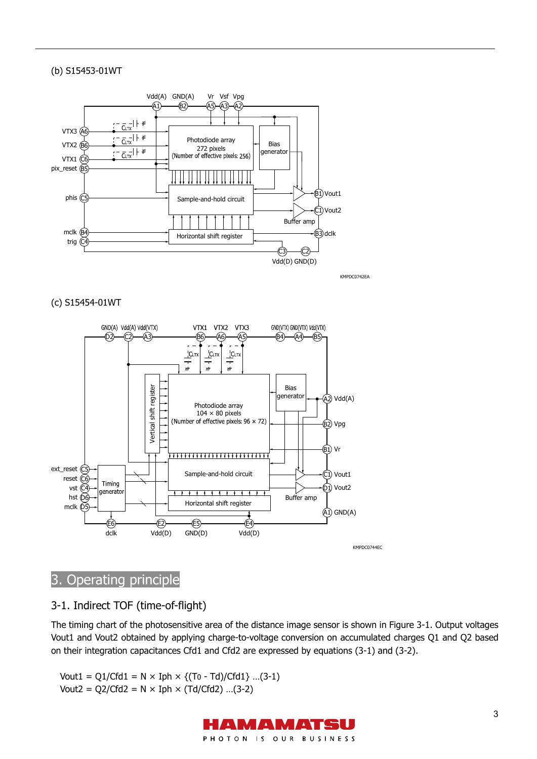#### (b) S15453-01WT



KMPDC0742EA

#### (c) S15454-01WT



# 3. Operating principle

## 3-1. Indirect TOF (time-of-flight)

The timing chart of the photosensitive area of the distance image sensor is shown in Figure 3-1. Output voltages Vout1 and Vout2 obtained by applying charge-to-voltage conversion on accumulated charges Q1 and Q2 based on their integration capacitances Cfd1 and Cfd2 are expressed by equations (3-1) and (3-2).

Vout1 =  $Q1/Cfd1 = N \times Iph \times \{(To - Td)/Cfd1\}$  ...(3-1) Vout2 =  $Q2/Cfd2 = N \times Iph \times (Td/Cfd2)$  ...(3-2)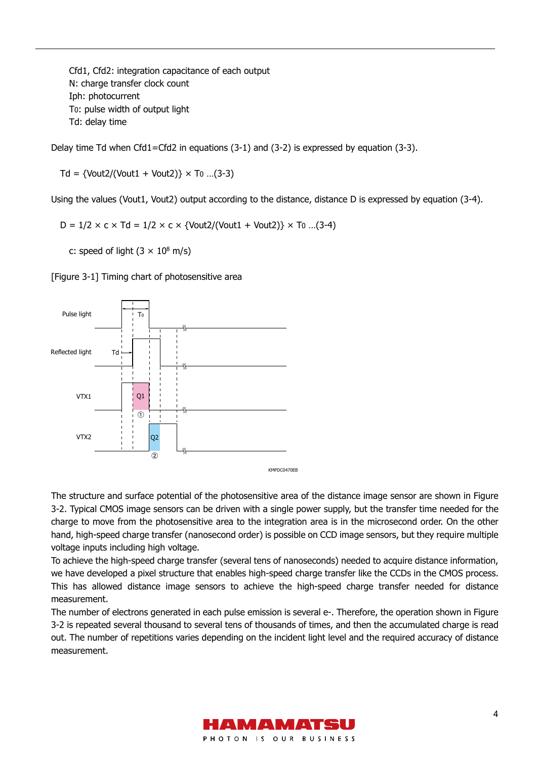Cfd1, Cfd2: integration capacitance of each output N: charge transfer clock count Iph: photocurrent T0: pulse width of output light Td: delay time

Delay time Td when Cfd1=Cfd2 in equations (3-1) and (3-2) is expressed by equation (3-3).

 $Td = \{Vout2/(Vout1 + Vout2)\} \times To$  ...(3-3)

Using the values (Vout1, Vout2) output according to the distance, distance D is expressed by equation (3-4).

 $D = 1/2 \times c \times Td = 1/2 \times c \times \{Vout2/(Vout1 + Vout2)\} \times T0$  ...(3-4)

c: speed of light  $(3 \times 10^8 \text{ m/s})$ 

[Figure 3-1] Timing chart of photosensitive area



The structure and surface potential of the photosensitive area of the distance image sensor are shown in Figure 3-2. Typical CMOS image sensors can be driven with a single power supply, but the transfer time needed for the charge to move from the photosensitive area to the integration area is in the microsecond order. On the other hand, high-speed charge transfer (nanosecond order) is possible on CCD image sensors, but they require multiple voltage inputs including high voltage.

To achieve the high-speed charge transfer (several tens of nanoseconds) needed to acquire distance information, we have developed a pixel structure that enables high-speed charge transfer like the CCDs in the CMOS process. This has allowed distance image sensors to achieve the high-speed charge transfer needed for distance measurement.

The number of electrons generated in each pulse emission is several e-. Therefore, the operation shown in Figure 3-2 is repeated several thousand to several tens of thousands of times, and then the accumulated charge is read out. The number of repetitions varies depending on the incident light level and the required accuracy of distance measurement.

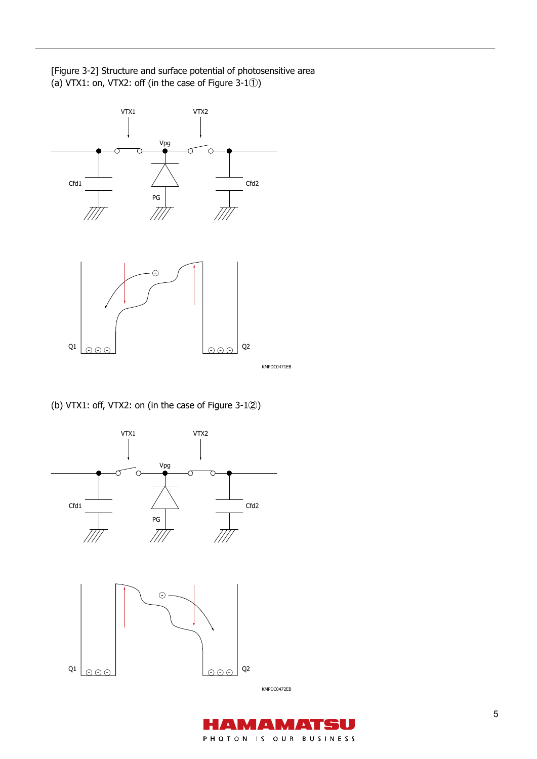[Figure 3-2] Structure and surface potential of photosensitive area (a) VTX1: on, VTX2: off (in the case of Figure 3-1①)



(b) VTX1: off, VTX2: on (in the case of Figure 3-1②)



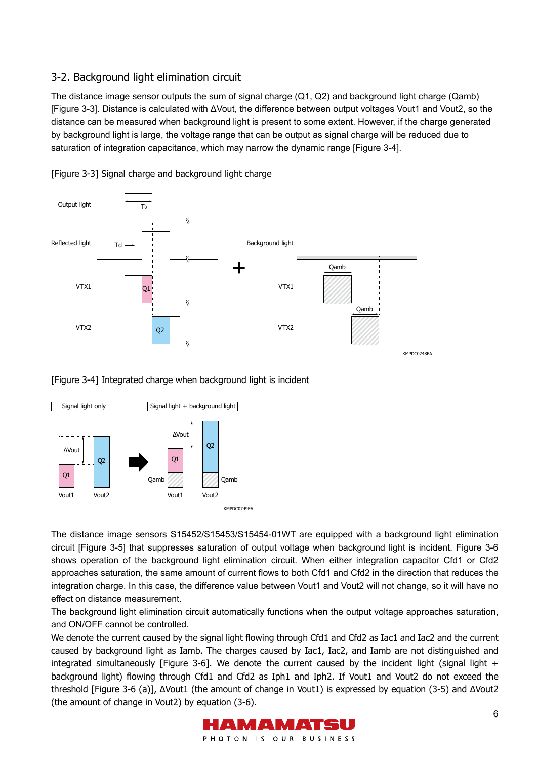## 3-2. Background light elimination circuit

The distance image sensor outputs the sum of signal charge (Q1, Q2) and background light charge (Qamb) [Figure 3-3]. Distance is calculated with ΔVout, the difference between output voltages Vout1 and Vout2, so the distance can be measured when background light is present to some extent. However, if the charge generated by background light is large, the voltage range that can be output as signal charge will be reduced due to saturation of integration capacitance, which may narrow the dynamic range [Figure 3-4].



[Figure 3-3] Signal charge and background light charge

[Figure 3-4] Integrated charge when background light is incident



The distance image sensors S15452/S15453/S15454-01WT are equipped with a background light elimination circuit [Figure 3-5] that suppresses saturation of output voltage when background light is incident. Figure 3-6 shows operation of the background light elimination circuit. When either integration capacitor Cfd1 or Cfd2 approaches saturation, the same amount of current flows to both Cfd1 and Cfd2 in the direction that reduces the integration charge. In this case, the difference value between Vout1 and Vout2 will not change, so it will have no effect on distance measurement.

The background light elimination circuit automatically functions when the output voltage approaches saturation, and ON/OFF cannot be controlled.

We denote the current caused by the signal light flowing through Cfd1 and Cfd2 as Iac1 and Iac2 and the current caused by background light as Iamb. The charges caused by Iac1, Iac2, and Iamb are not distinguished and integrated simultaneously [Figure 3-6]. We denote the current caused by the incident light (signal light  $+$ background light) flowing through Cfd1 and Cfd2 as Iph1 and Iph2. If Vout1 and Vout2 do not exceed the threshold [Figure 3-6 (a)], ΔVout1 (the amount of change in Vout1) is expressed by equation (3-5) and ΔVout2 (the amount of change in Vout2) by equation (3-6).

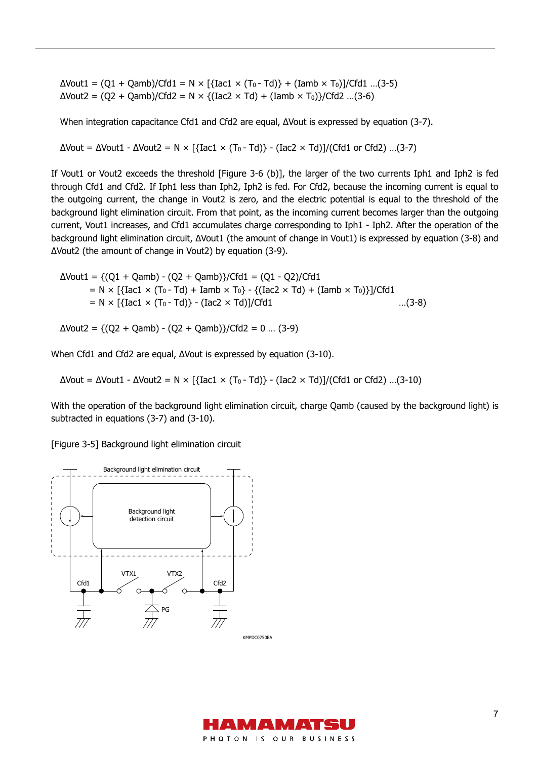$\Delta$ Vout1 = (Q1 + Qamb)/Cfd1 = N × [{Iac1 × (T<sub>0</sub> - Td)} + (Iamb × T<sub>0</sub>)]/Cfd1 ...(3-5) ΔVout2 = (Q2 + Qamb)/Cfd2 = N × {(Iac2 × Td) + (Iamb × T0)}/Cfd2 …(3-6)

When integration capacitance Cfd1 and Cfd2 are equal, ΔVout is expressed by equation (3-7).

 $ΔVout = ΔVout1 - ΔVout2 = N × [{}Iact × (T<sub>0</sub> - Td)] - [Iac2 × Td)]/(Cfd1 or Cfd2) ...(3-7)$ 

If Vout1 or Vout2 exceeds the threshold [Figure 3-6 (b)], the larger of the two currents Iph1 and Iph2 is fed through Cfd1 and Cfd2. If Iph1 less than Iph2, Iph2 is fed. For Cfd2, because the incoming current is equal to the outgoing current, the change in Vout2 is zero, and the electric potential is equal to the threshold of the background light elimination circuit. From that point, as the incoming current becomes larger than the outgoing current, Vout1 increases, and Cfd1 accumulates charge corresponding to Iph1 - Iph2. After the operation of the background light elimination circuit, ΔVout1 (the amount of change in Vout1) is expressed by equation (3-8) and ΔVout2 (the amount of change in Vout2) by equation (3-9).

$$
\Delta \text{Vout1} = \{ (Q1 + Qamb) - (Q2 + Qamb) \} / \text{Cfd1} = (Q1 - Q2) / \text{Cfd1}
$$
\n
$$
= N \times [\{ \text{Iac1} \times (T_0 - Td) + \text{Iamb} \times T_0 \} - \{ (\text{Iac2} \times Td) + (\text{Iamb} \times T_0 \}) \} / \text{Cfd1}
$$
\n
$$
= N \times [\{ \text{Iac1} \times (T_0 - Td) \} - (\text{Iac2} \times Td) ] / \text{Cfd1}
$$
\n
$$
\dots (3-8)
$$

ΔVout2 = {(Q2 + Qamb) - (Q2 + Qamb)}/Cfd2 = 0 … (3-9)

When Cfd1 and Cfd2 are equal, ΔVout is expressed by equation (3-10).

 $ΔVout = ΔVout1 - ΔVout2 = N × [{}Iac1 × (T<sub>0</sub> - Td)] - [Iac2 × Td)]/(Cfd1 or Cfd2) ... (3-10)$ 

With the operation of the background light elimination circuit, charge Qamb (caused by the background light) is subtracted in equations (3-7) and (3-10).

[Figure 3-5] Background light elimination circuit



KMPDC0750EA

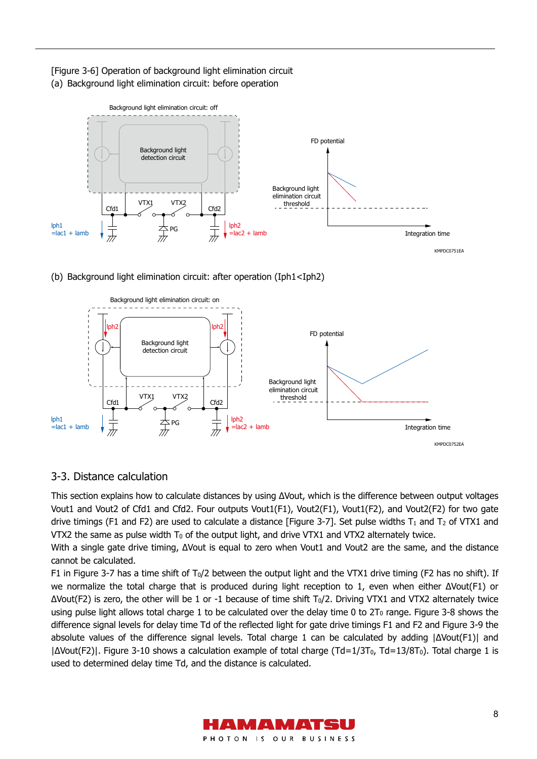[Figure 3-6] Operation of background light elimination circuit (a) Background light elimination circuit: before operation



(b) Background light elimination circuit: after operation (Iph1<Iph2)



## 3-3. Distance calculation

This section explains how to calculate distances by using ΔVout, which is the difference between output voltages Vout1 and Vout2 of Cfd1 and Cfd2. Four outputs Vout1(F1), Vout2(F1), Vout1(F2), and Vout2(F2) for two gate drive timings (F1 and F2) are used to calculate a distance [Figure 3-7]. Set pulse widths  $T_1$  and  $T_2$  of VTX1 and VTX2 the same as pulse width  $T_0$  of the output light, and drive VTX1 and VTX2 alternately twice.

With a single gate drive timing, ΔVout is equal to zero when Vout1 and Vout2 are the same, and the distance cannot be calculated.

F1 in Figure 3-7 has a time shift of  $T_0/2$  between the output light and the VTX1 drive timing (F2 has no shift). If we normalize the total charge that is produced during light reception to 1, even when either ΔVout(F1) or  $ΔVout(F2)$  is zero, the other will be 1 or -1 because of time shift  $T<sub>0</sub>/2$ . Driving VTX1 and VTX2 alternately twice using pulse light allows total charge 1 to be calculated over the delay time 0 to  $2T_0$  range. Figure 3-8 shows the difference signal levels for delay time Td of the reflected light for gate drive timings F1 and F2 and Figure 3-9 the absolute values of the difference signal levels. Total charge 1 can be calculated by adding |ΔVout(F1)| and |ΔVout(F2)|. Figure 3-10 shows a calculation example of total charge (Td=1/3T0, Td=13/8T0). Total charge 1 is used to determined delay time Td, and the distance is calculated.

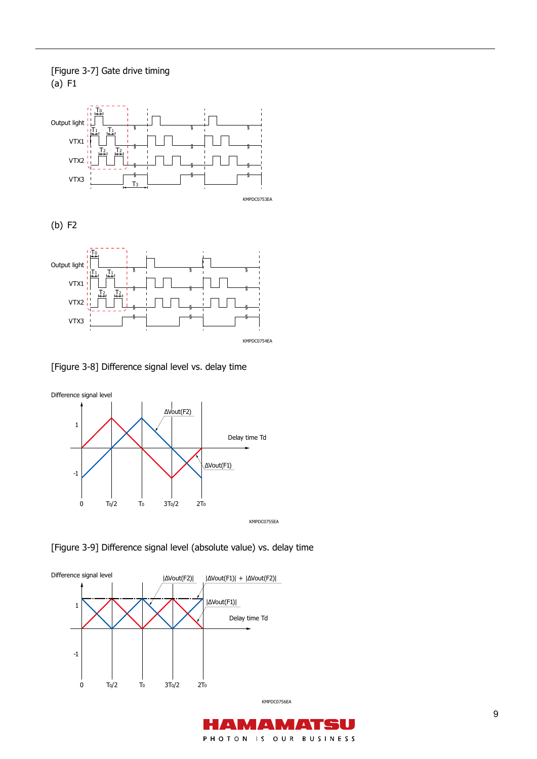### [Figure 3-7] Gate drive timing (a) F1





[Figure 3-8] Difference signal level vs. delay time



[Figure 3-9] Difference signal level (absolute value) vs. delay time



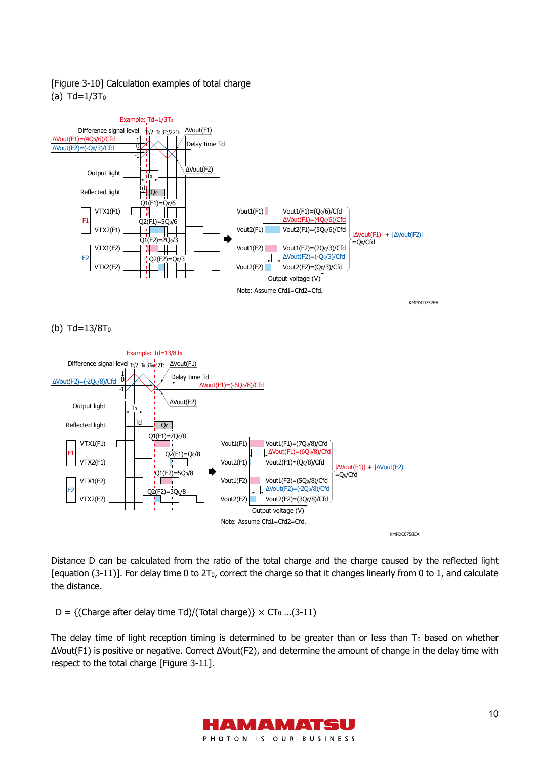

### [Figure 3-10] Calculation examples of total charge  $(a)$  Td= $1/3T<sub>0</sub>$

(b) Td=13/8T0



Distance D can be calculated from the ratio of the total charge and the charge caused by the reflected light [equation (3-11)]. For delay time 0 to  $2T_0$ , correct the charge so that it changes linearly from 0 to 1, and calculate the distance.

D = {(Charge after delay time Td)/(Total charge)}  $\times$  CT<sub>0</sub> ...(3-11)

The delay time of light reception timing is determined to be greater than or less than  $T_0$  based on whether ΔVout(F1) is positive or negative. Correct ΔVout(F2), and determine the amount of change in the delay time with respect to the total charge [Figure 3-11].

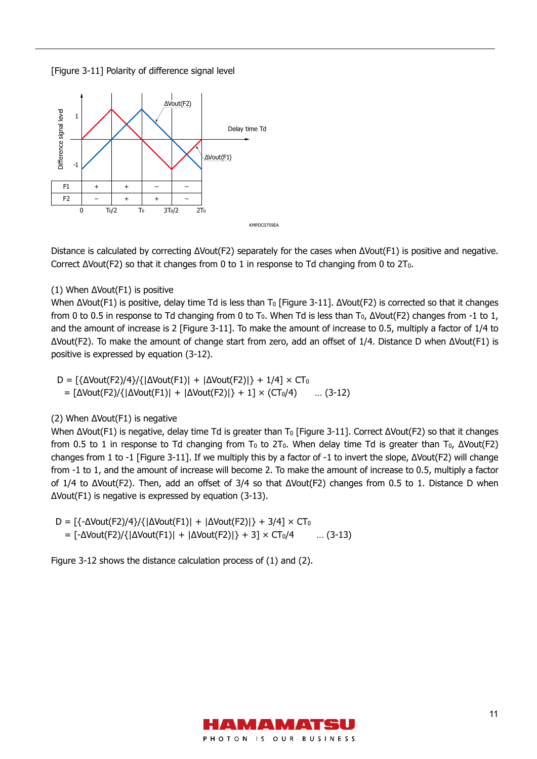[Figure 3-11] Polarity of difference signal level



Distance is calculated by correcting ΔVout(F2) separately for the cases when ΔVout(F1) is positive and negative. Correct  $\Delta$ Vout(F2) so that it changes from 0 to 1 in response to Td changing from 0 to 2T<sub>0</sub>.

#### (1) When ΔVout(F1) is positive

When  $\Delta$ Vout(F1) is positive, delay time Td is less than T<sub>0</sub> [Figure 3-11].  $\Delta$ Vout(F2) is corrected so that it changes from 0 to 0.5 in response to Td changing from 0 to T<sub>0</sub>. When Td is less than T<sub>0</sub>,  $\Delta$ Vout(F2) changes from -1 to 1, and the amount of increase is 2 [Figure 3-11]. To make the amount of increase to 0.5, multiply a factor of 1/4 to ΔVout(F2). To make the amount of change start from zero, add an offset of 1/4. Distance D when ΔVout(F1) is positive is expressed by equation (3-12).

 $D = \frac{(\Delta \text{Vout}(F2)/4}{(\Delta \text{Vout}(F1)) + |\Delta \text{Vout}(F2)|) + 1/4} \times CT_0$ =  $[\Delta\text{Vout}(F2)/{\{\Delta\text{Vout}(F1)\} + [\Delta\text{Vout}(F2)]\} + 1] \times (CT_0/4)$  ... (3-12)

#### (2) When ΔVout(F1) is negative

When ΔVout(F1) is negative, delay time Td is greater than T<sub>0</sub> [Figure 3-11]. Correct ΔVout(F2) so that it changes from 0.5 to 1 in response to Td changing from T<sub>0</sub> to 2T<sub>0</sub>. When delay time Td is greater than T<sub>0</sub>,  $\Delta$ Vout(F2) changes from 1 to -1 [Figure 3-11]. If we multiply this by a factor of -1 to invert the slope, ΔVout(F2) will change from -1 to 1, and the amount of increase will become 2. To make the amount of increase to 0.5, multiply a factor of 1/4 to ΔVout(F2). Then, add an offset of 3/4 so that ΔVout(F2) changes from 0.5 to 1. Distance D when ΔVout(F1) is negative is expressed by equation (3-13).

 $D = \frac{(-\Delta \text{Vout}(F2)}{4} / \frac{(\Delta \text{Vout}(F1)) + (\Delta \text{Vout}(F2))}{+ 3/4} \times CT_0$  $=$  [-ΔVout(F2)/{|ΔVout(F1)| + |ΔVout(F2)|} + 3] × CT<sub>0</sub>/4 … (3-13)

Figure 3-12 shows the distance calculation process of (1) and (2).

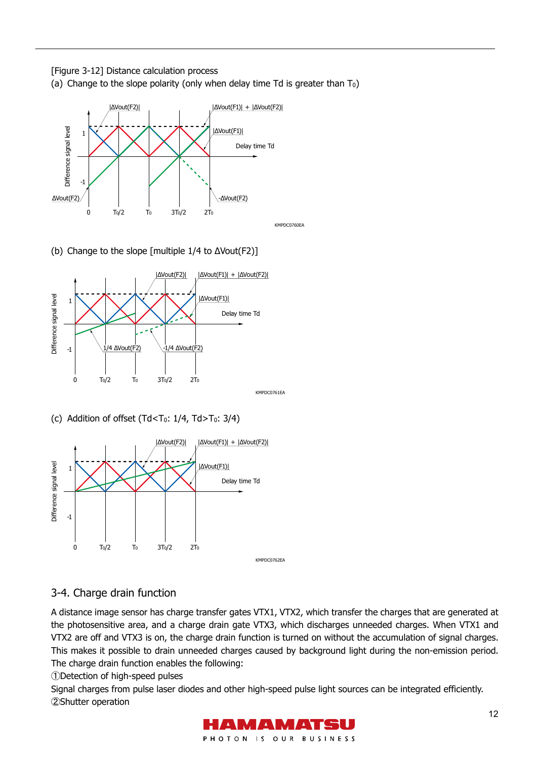[Figure 3-12] Distance calculation process (a) Change to the slope polarity (only when delay time Td is greater than  $T_0$ )



(b) Change to the slope [multiple 1/4 to ΔVout(F2)]



(c) Addition of offset  $(Td < T_0: 1/4, Td > T_0: 3/4)$ 



# 3-4. Charge drain function

A distance image sensor has charge transfer gates VTX1, VTX2, which transfer the charges that are generated at the photosensitive area, and a charge drain gate VTX3, which discharges unneeded charges. When VTX1 and VTX2 are off and VTX3 is on, the charge drain function is turned on without the accumulation of signal charges. This makes it possible to drain unneeded charges caused by background light during the non-emission period. The charge drain function enables the following:

①Detection of high-speed pulses

Signal charges from pulse laser diodes and other high-speed pulse light sources can be integrated efficiently. 2Shutter operation

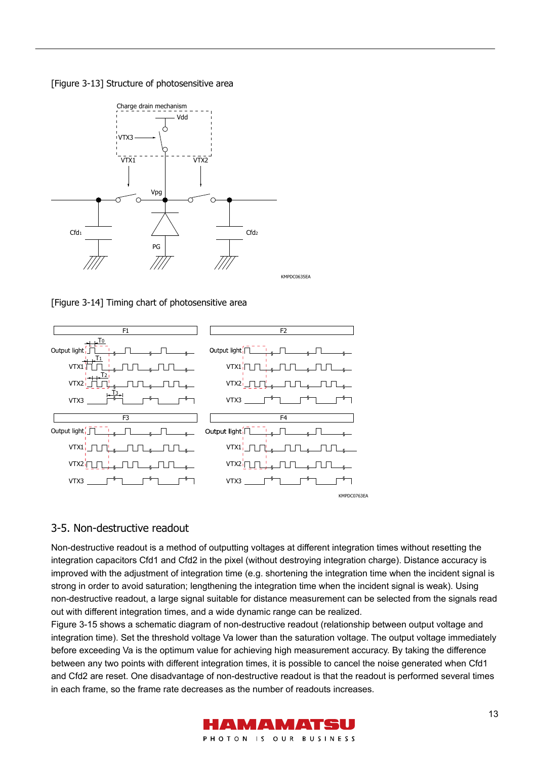



[Figure 3-14] Timing chart of photosensitive area



#### 3-5. Non-destructive readout

Non-destructive readout is a method of outputting voltages at different integration times without resetting the integration capacitors Cfd1 and Cfd2 in the pixel (without destroying integration charge). Distance accuracy is improved with the adjustment of integration time (e.g. shortening the integration time when the incident signal is strong in order to avoid saturation; lengthening the integration time when the incident signal is weak). Using non-destructive readout, a large signal suitable for distance measurement can be selected from the signals read out with different integration times, and a wide dynamic range can be realized.

Figure 3-15 shows a schematic diagram of non-destructive readout (relationship between output voltage and integration time). Set the threshold voltage Va lower than the saturation voltage. The output voltage immediately before exceeding Va is the optimum value for achieving high measurement accuracy. By taking the difference between any two points with different integration times, it is possible to cancel the noise generated when Cfd1 and Cfd2 are reset. One disadvantage of non-destructive readout is that the readout is performed several times in each frame, so the frame rate decreases as the number of readouts increases.

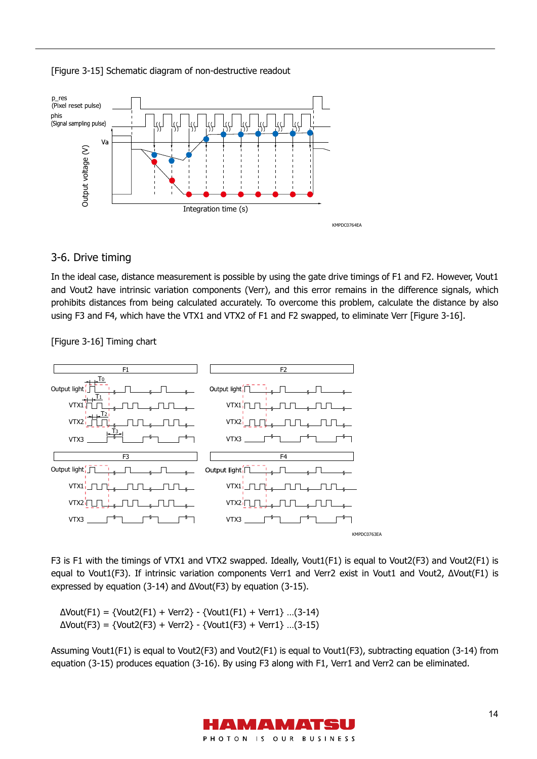



#### 3-6. Drive timing

In the ideal case, distance measurement is possible by using the gate drive timings of F1 and F2. However, Vout1 and Vout2 have intrinsic variation components (Verr), and this error remains in the difference signals, which prohibits distances from being calculated accurately. To overcome this problem, calculate the distance by also using F3 and F4, which have the VTX1 and VTX2 of F1 and F2 swapped, to eliminate Verr [Figure 3-16].

[Figure 3-16] Timing chart



F3 is F1 with the timings of VTX1 and VTX2 swapped. Ideally, Vout1(F1) is equal to Vout2(F3) and Vout2(F1) is equal to Vout1(F3). If intrinsic variation components Verr1 and Verr2 exist in Vout1 and Vout2, ΔVout(F1) is expressed by equation (3-14) and ΔVout(F3) by equation (3-15).

 $\Delta$ Vout(F1) = {Vout2(F1) + Verr2} - {Vout1(F1) + Verr1} ...(3-14)  $\Delta$ Vout(F3) = {Vout2(F3) + Verr2} - {Vout1(F3) + Verr1} ...(3-15)

Assuming Vout1(F1) is equal to Vout2(F3) and Vout2(F1) is equal to Vout1(F3), subtracting equation (3-14) from equation (3-15) produces equation (3-16). By using F3 along with F1, Verr1 and Verr2 can be eliminated.

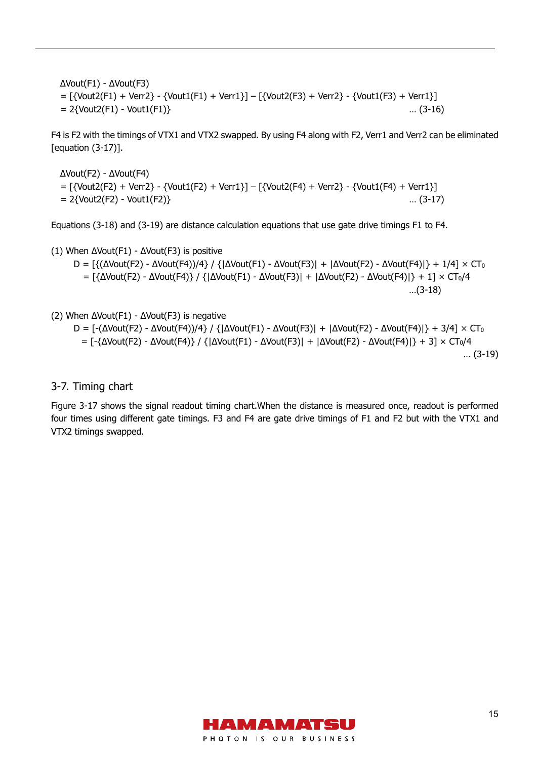ΔVout(F1) - ΔVout(F3) = [{Vout2(F1) + Verr2} - {Vout1(F1) + Verr1}] – [{Vout2(F3) + Verr2} - {Vout1(F3) + Verr1}]  $= 2$ {Vout2(F1) - Vout1(F1)}  $\ldots$  (3-16)

F4 is F2 with the timings of VTX1 and VTX2 swapped. By using F4 along with F2, Verr1 and Verr2 can be eliminated [equation (3-17)].

ΔVout(F2) - ΔVout(F4) = [{Vout2(F2) + Verr2} - {Vout1(F2) + Verr1}] – [{Vout2(F4) + Verr2} - {Vout1(F4) + Verr1}] = 2{Vout2(F2) - Vout1(F2)} … (3-17)

Equations (3-18) and (3-19) are distance calculation equations that use gate drive timings F1 to F4.

(1) When ΔVout(F1) - ΔVout(F3) is positive

$$
D = \left[\left\{\Delta\text{Vout}(F2) - \Delta\text{Vout}(F4)\right\}/\left\{\Delta\text{Vout}(F1) - \Delta\text{Vout}(F3)\right\} + |\Delta\text{Vout}(F2) - \Delta\text{Vout}(F4)| + 1/4 \right] \times CT_0
$$
  
= \left[\left\{\Delta\text{Vout}(F2) - \Delta\text{Vout}(F4)\right\}/\left\{\Delta\text{Vout}(F1) - \Delta\text{Vout}(F3)\right\} + |\Delta\text{Vout}(F2) - \Delta\text{Vout}(F4)| + 1 \right] \times CT\_0/4  
...(3-18)

(2) When ΔVout(F1) - ΔVout(F3) is negative

```
D = [-(\Delta \text{Vout}(F2) - \Delta \text{Vout}(F4))/4]/(\Delta \text{Vout}(F1) - \Delta \text{Vout}(F3)) + |\Delta \text{Vout}(F2) - \Delta \text{Vout}(F4)| + 3/4] \times CT_0= [-{ΔVout(F2) - ΔVout(F4)} / {|ΔVout(F1) - ΔVout(F3)| + |ΔVout(F2) - ΔVout(F4)|} + 3] × CT0/4 
                                                                                                                       … (3-19)
```
#### 3-7. Timing chart

Figure 3-17 shows the signal readout timing chart.When the distance is measured once, readout is performed four times using different gate timings. F3 and F4 are gate drive timings of F1 and F2 but with the VTX1 and VTX2 timings swapped.

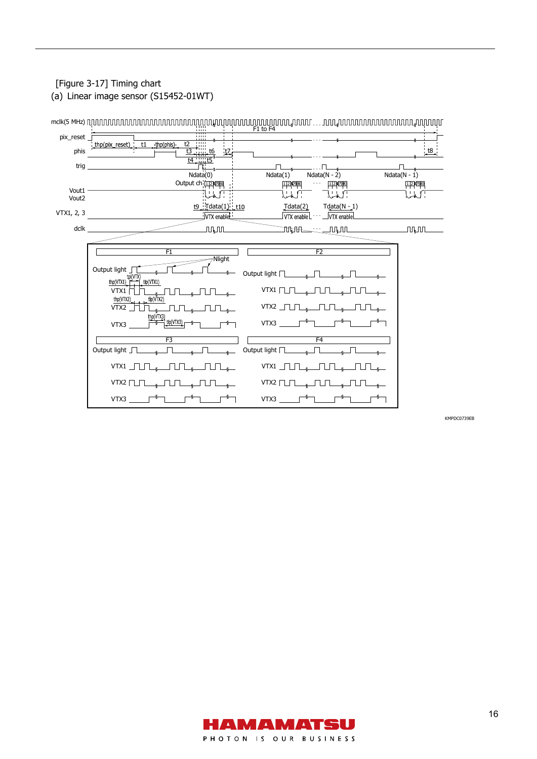# [Figure 3-17] Timing chart

(a) Linear image sensor (S15452-01WT)



KMPDC0739EB

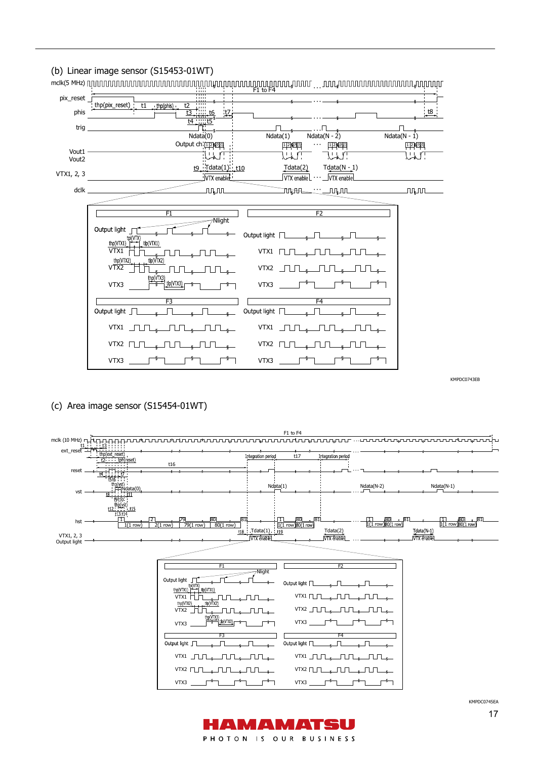

KMPDC0743EB

(c) Area image sensor (S15454-01WT)



KMPDC0745EA

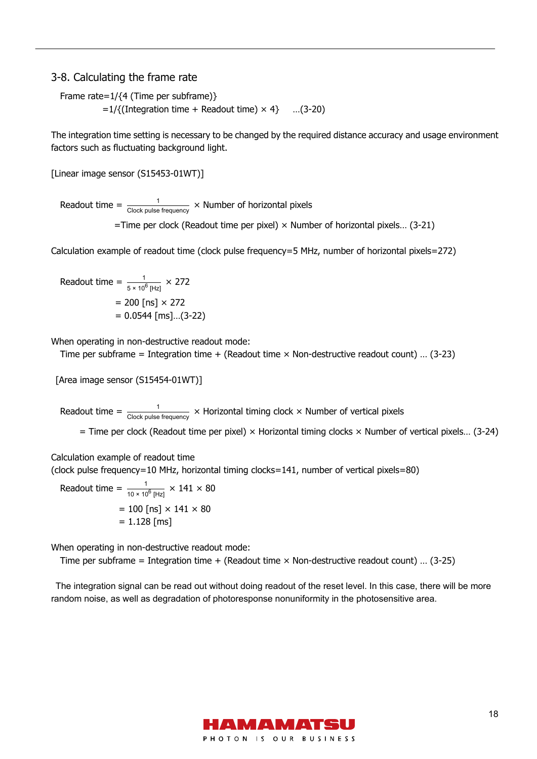#### 3-8. Calculating the frame rate

Frame rate=1/{4 (Time per subframe)}

 $=1/{(}$ Integration time + Readout time)  $\times$  4} ...(3-20)

The integration time setting is necessary to be changed by the required distance accuracy and usage environment factors such as fluctuating background light.

[Linear image sensor (S15453-01WT)]

Readout time =  $\frac{1}{\text{Clock pulse frequency}} \times \text{Number of horizontal pixels}$ 

 $=$ Time per clock (Readout time per pixel)  $\times$  Number of horizontal pixels... (3-21)

Calculation example of readout time (clock pulse frequency=5 MHz, number of horizontal pixels=272)

Readout time =  $\frac{1}{5 \times 10^6 \text{ [Hz]}} \times 272$  $= 200$  [ns]  $\times$  272  $= 0.0544$  [ms]...(3-22)

When operating in non-destructive readout mode:

Time per subframe = Integration time + (Readout time × Non-destructive readout count) … (3-23)

[Area image sensor (S15454-01WT)]

Readout time =  $\frac{1}{\text{Clock pulse frequency}} \times$  Horizontal timing clock  $\times$  Number of vertical pixels

 $=$  Time per clock (Readout time per pixel)  $\times$  Horizontal timing clocks  $\times$  Number of vertical pixels... (3-24)

Calculation example of readout time

(clock pulse frequency=10 MHz, horizontal timing clocks=141, number of vertical pixels=80)

Readout time =  $\frac{1}{10 \times 10^6 \text{ [Hz]}} \times 141 \times 80$  $= 100$  [ns]  $\times$  141  $\times$  80  $= 1.128$  [ms]

When operating in non-destructive readout mode:

Time per subframe = Integration time + (Readout time  $\times$  Non-destructive readout count) ... (3-25)

The integration signal can be read out without doing readout of the reset level. In this case, there will be more random noise, as well as degradation of photoresponse nonuniformity in the photosensitive area.

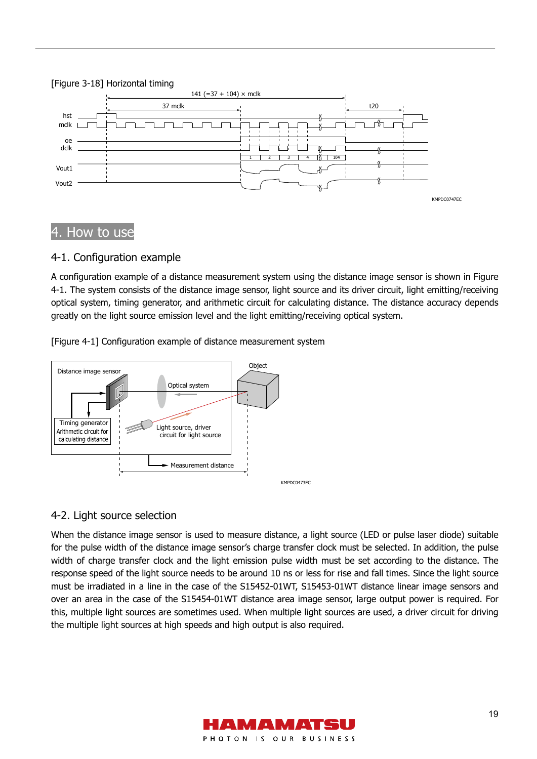#### [Figure 3-18] Horizontal timing



# How to use

### 4-1. Configuration example

A configuration example of a distance measurement system using the distance image sensor is shown in Figure 4-1. The system consists of the distance image sensor, light source and its driver circuit, light emitting/receiving optical system, timing generator, and arithmetic circuit for calculating distance. The distance accuracy depends greatly on the light source emission level and the light emitting/receiving optical system.

[Figure 4-1] Configuration example of distance measurement system



### 4-2. Light source selection

When the distance image sensor is used to measure distance, a light source (LED or pulse laser diode) suitable for the pulse width of the distance image sensor's charge transfer clock must be selected. In addition, the pulse width of charge transfer clock and the light emission pulse width must be set according to the distance. The response speed of the light source needs to be around 10 ns or less for rise and fall times. Since the light source must be irradiated in a line in the case of the S15452-01WT, S15453-01WT distance linear image sensors and over an area in the case of the S15454-01WT distance area image sensor, large output power is required. For this, multiple light sources are sometimes used. When multiple light sources are used, a driver circuit for driving the multiple light sources at high speeds and high output is also required.

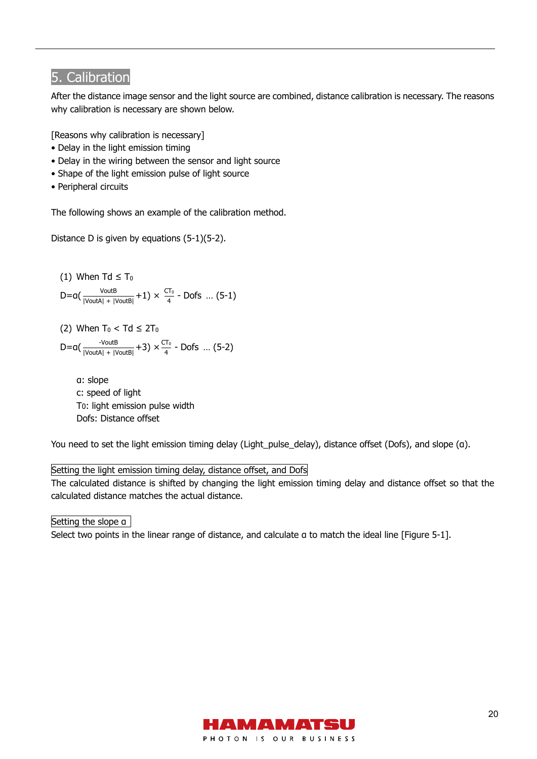# 5. Calibration

After the distance image sensor and the light source are combined, distance calibration is necessary. The reasons why calibration is necessary are shown below.

[Reasons why calibration is necessary]

- Delay in the light emission timing
- Delay in the wiring between the sensor and light source
- Shape of the light emission pulse of light source
- Peripheral circuits

The following shows an example of the calibration method.

Distance D is given by equations (5-1)(5-2).

(1) When 
$$
Td \leq T_0
$$
\n $D = a\left(\frac{V \text{out } B}{|V \text{out } A| + |V \text{out } B|} + 1\right) \times \frac{CT_0}{4} - \text{Dofs} \dots (5-1)$ 

(2) When  $T_0 < Td \leq 2T_0$  $D = a(\frac{v_{\text{out}}B}{|V_{\text{out}}A| + |V_{\text{out}}B|} + 3) \times \frac{CT_0}{4}$  - Dofs ... (5-2)

α: slope c: speed of light T0: light emission pulse width Dofs: Distance offset

You need to set the light emission timing delay (Light\_pulse\_delay), distance offset (Dofs), and slope (α).

#### Setting the light emission timing delay, distance offset, and Dofs

The calculated distance is shifted by changing the light emission timing delay and distance offset so that the calculated distance matches the actual distance.

Setting the slope α

Select two points in the linear range of distance, and calculate a to match the ideal line [Figure 5-1].

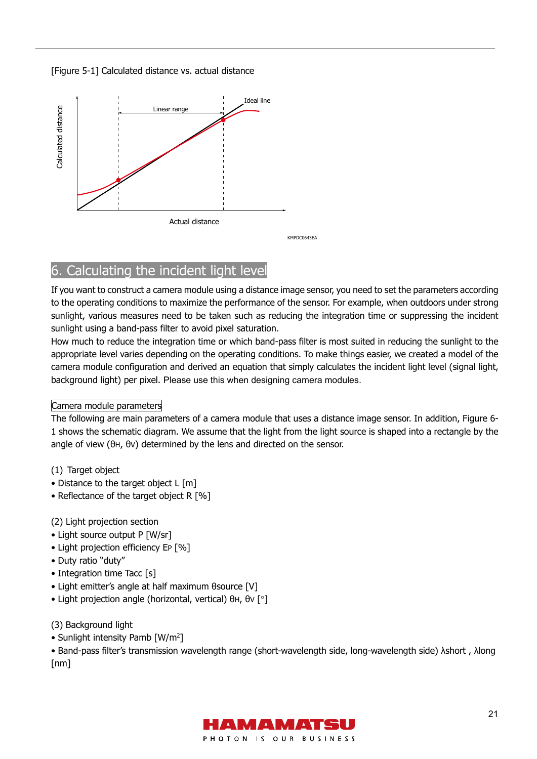[Figure 5-1] Calculated distance vs. actual distance



# 6. Calculating the incident light level

If you want to construct a camera module using a distance image sensor, you need to set the parameters according to the operating conditions to maximize the performance of the sensor. For example, when outdoors under strong sunlight, various measures need to be taken such as reducing the integration time or suppressing the incident sunlight using a band-pass filter to avoid pixel saturation.

How much to reduce the integration time or which band-pass filter is most suited in reducing the sunlight to the appropriate level varies depending on the operating conditions. To make things easier, we created a model of the camera module configuration and derived an equation that simply calculates the incident light level (signal light, background light) per pixel. Please use this when designing camera modules.

#### Camera module parameters

The following are main parameters of a camera module that uses a distance image sensor. In addition, Figure 6- 1 shows the schematic diagram. We assume that the light from the light source is shaped into a rectangle by the angle of view (θH, θV) determined by the lens and directed on the sensor.

- (1) Target object
- Distance to the target object L [m]
- Reflectance of the target object R [%]

### (2) Light projection section

- Light source output P [W/sr]
- Light projection efficiency EP [%]
- Duty ratio "duty"
- Integration time Tacc [s]
- Light emitter's angle at half maximum θsource [V]
- Light projection angle (horizontal, vertical) θΗ, θν [ $^{\circ}$ ]

#### (3) Background light

• Sunlight intensity Pamb [W/m<sup>2</sup>]

• Band-pass filter's transmission wavelength range (short-wavelength side, long-wavelength side) λshort , λlong [nm]

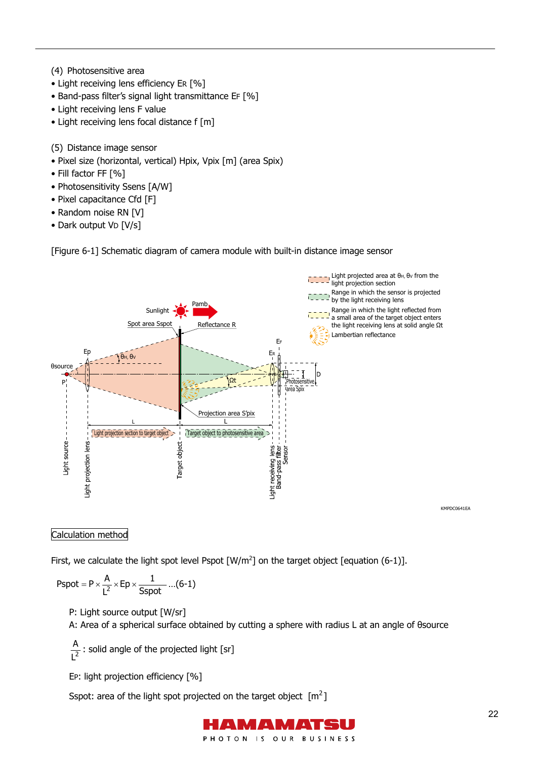- (4) Photosensitive area
- Light receiving lens efficiency ER [%]
- Band-pass filter's signal light transmittance EF [%]
- Light receiving lens F value
- Light receiving lens focal distance f [m]

(5) Distance image sensor

- Pixel size (horizontal, vertical) Hpix, Vpix [m] (area Spix)
- Fill factor FF [%]
- Photosensitivity Ssens [A/W]
- Pixel capacitance Cfd [F]
- Random noise RN [V]
- Dark output VD [V/s]

[Figure 6-1] Schematic diagram of camera module with built-in distance image sensor



KMPDC0641EA

### Calculation method

First, we calculate the light spot level Pspot  $\lceil W/m^2 \rceil$  on the target object  $\lceil$  equation (6-1)].

$$
Pspot = P \times \frac{A}{L^2} \times Ep \times \frac{1}{Sspot} \ldots (6\text{-}1)
$$

P: Light source output [W/sr]

A: Area of a spherical surface obtained by cutting a sphere with radius L at an angle of θsource

 $L^2$  $\frac{A}{2}$ : solid angle of the projected light [sr]

EP: light projection efficiency [%]

Sspot: area of the light spot projected on the target object  $\lceil m^2 \rceil$ 

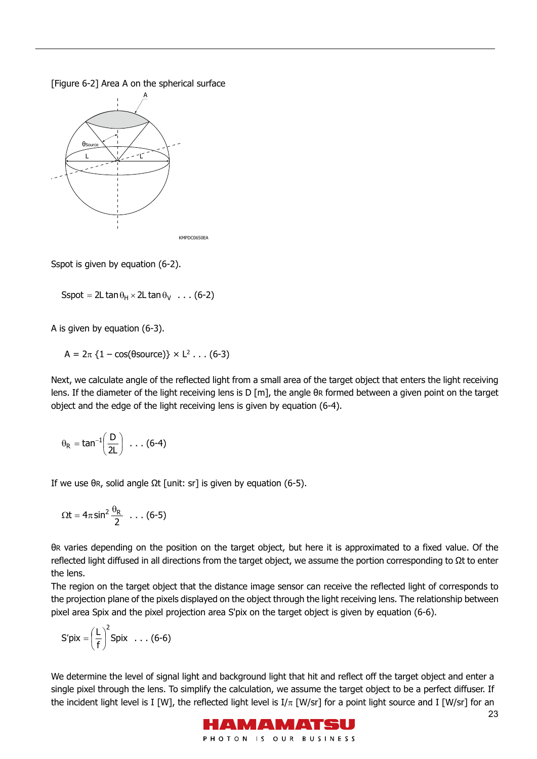[Figure 6-2] Area A on the spherical surface



Sspot is given by equation (6-2).

Sspot =  $2L \tan \theta_H \times 2L \tan \theta_V$  ... (6-2)

A is given by equation (6-3).

A =  $2\pi$  {1 – cos( $\theta$ source)} × L<sup>2</sup> . . . (6-3)

Next, we calculate angle of the reflected light from a small area of the target object that enters the light receiving lens. If the diameter of the light receiving lens is D [m], the angle θR formed between a given point on the target object and the edge of the light receiving lens is given by equation (6-4).

$$
\theta_R = \text{tan}^{-1}\left(\frac{D}{2L}\right) \ \ldots \ (6-4)
$$

If we use θ $R$ , solid angle Ωt [unit: sr] is given by equation (6-5).

$$
\Omega t = 4\pi \sin^2 \frac{\theta_R}{2} \dots (6-5)
$$

θR varies depending on the position on the target object, but here it is approximated to a fixed value. Of the reflected light diffused in all directions from the target object, we assume the portion corresponding to Ωt to enter the lens.

The region on the target object that the distance image sensor can receive the reflected light of corresponds to the projection plane of the pixels displayed on the object through the light receiving lens. The relationship between pixel area Spix and the pixel projection area S'pix on the target object is given by equation (6-6).

$$
S'pix = \left(\frac{L}{f}\right)^2 Spix \dots (6-6)
$$

We determine the level of signal light and background light that hit and reflect off the target object and enter a single pixel through the lens. To simplify the calculation, we assume the target object to be a perfect diffuser. If the incident light level is I [W], the reflected light level is  $I/\pi$  [W/sr] for a point light source and I [W/sr] for an

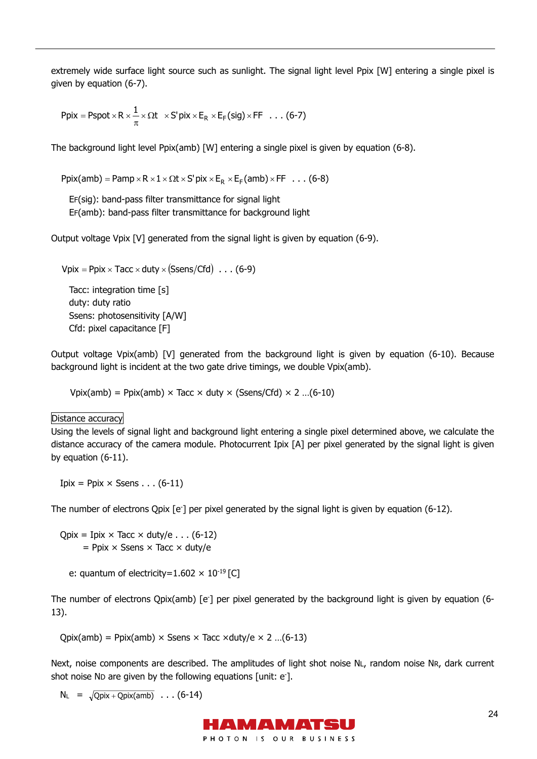extremely wide surface light source such as sunlight. The signal light level Ppix [W] entering a single pixel is given by equation (6-7).

$$
Ppix = Pspot \times R \times \frac{1}{\pi} \times \Omega t \times S' pix \times E_R \times E_F (sig) \times FF \dots (6-7)
$$

The background light level Ppix(amb) [W] entering a single pixel is given by equation (6-8).

Ppix(amb) = Pamp  $\times$  R  $\times$  1  $\times$   $\Omega$ t  $\times$  S' pix  $\times$  E<sub>R</sub>  $\times$  E<sub>F</sub> (amb)  $\times$  FF  $\ldots$  (6-8)

EF(sig): band-pass filter transmittance for signal light EF(amb): band-pass filter transmittance for background light

Output voltage Vpix [V] generated from the signal light is given by equation (6-9).

 $V$ pix = Ppix  $\times$  Tacc  $\times$  duty  $\times$  (Ssens/Cfd)  $\ldots$  (6-9)

Tacc: integration time [s] duty: duty ratio Ssens: photosensitivity [A/W] Cfd: pixel capacitance [F]

Output voltage Vpix(amb) [V] generated from the background light is given by equation (6-10). Because background light is incident at the two gate drive timings, we double Vpix(amb).

Vpix(amb) = Ppix(amb)  $\times$  Tacc  $\times$  duty  $\times$  (Ssens/Cfd)  $\times$  2 ...(6-10)

Distance accuracy

Using the levels of signal light and background light entering a single pixel determined above, we calculate the distance accuracy of the camera module. Photocurrent Ipix [A] per pixel generated by the signal light is given by equation (6-11).

Ipix = Ppix  $\times$  Ssens . . . (6-11)

The number of electrons Qpix [e<sup>-</sup>] per pixel generated by the signal light is given by equation (6-12).

 $Q$ pix = Ipix × Tacc × duty/e  $\dots$  (6-12)  $=$  Ppix  $\times$  Ssens  $\times$  Tacc  $\times$  duty/e

```
e: quantum of electricity=1.602 \times 10<sup>-19</sup> [C]
```
The number of electrons Qpix(amb) [e<sup>-</sup>] per pixel generated by the background light is given by equation (6-13).

```
Qpix(amb) = Ppix(amb) \times Ssens \times Tacc \times duty/e \times 2 ...(6-13)
```
Next, noise components are described. The amplitudes of light shot noise NL, random noise NR, dark current shot noise ND are given by the following equations [unit: e- ].

```
N_L = \sqrt{Qpix + Qpix(amb)} \dots (6-14)
```
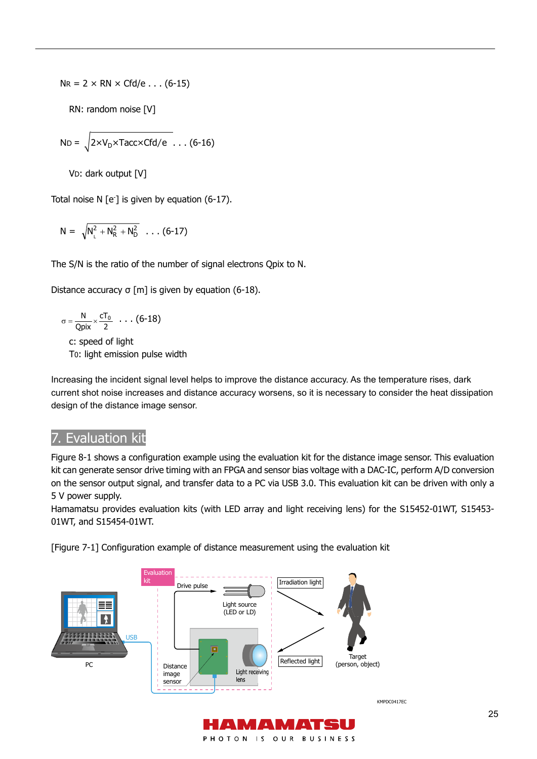$NR = 2 \times RN \times Cfd/e \dots (6-15)$ 

RN: random noise [V]

$$
ND = \sqrt{2 \times V_D \times Tacc \times Cfd/e} \dots (6-16)
$$

VD: dark output [V]

Total noise N [e- ] is given by equation (6-17).

$$
N = \sqrt{N_{_L}^2 + N_{R}^2 + N_{D}^2} \ \ldots \ (6\text{-}17)
$$

The S/N is the ratio of the number of signal electrons Qpix to N.

Distance accuracy σ [m] is given by equation (6-18).

$$
\sigma = \frac{N}{Qpix} \times \frac{cT_0}{2} \dots (6-18)
$$
  
c: speed of light

T0: light emission pulse width

Increasing the incident signal level helps to improve the distance accuracy. As the temperature rises, dark current shot noise increases and distance accuracy worsens, so it is necessary to consider the heat dissipation design of the distance image sensor.

# 7. Evaluation kit

Figure 8-1 shows a configuration example using the evaluation kit for the distance image sensor. This evaluation kit can generate sensor drive timing with an FPGA and sensor bias voltage with a DAC-IC, perform A/D conversion on the sensor output signal, and transfer data to a PC via USB 3.0. This evaluation kit can be driven with only a 5 V power supply.

Hamamatsu provides evaluation kits (with LED array and light receiving lens) for the S15452-01WT, S15453- 01WT, and S15454-01WT.

[Figure 7-1] Configuration example of distance measurement using the evaluation kit